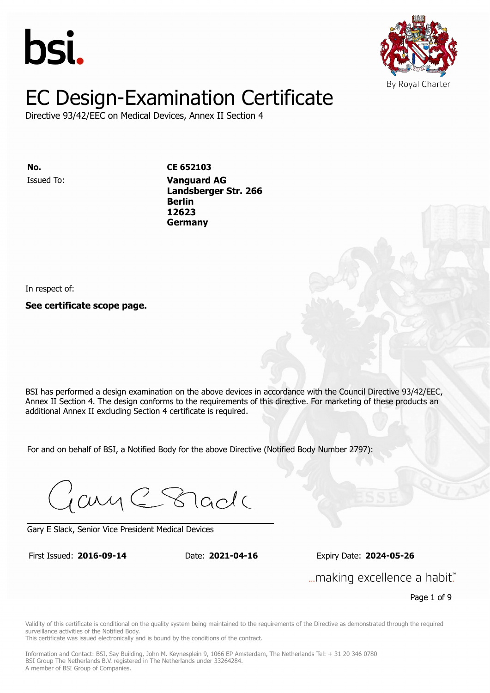



Directive 93/42/EEC on Medical Devices, Annex II Section 4

Issued To: **Vanguard AG No. CE 652103 Landsberger Str. 266 Berlin** Issued To: **Vanguard AG 12623 Landsberger Str. 266 Berlin 12623 Germany**

In respect of:

**See certificate scope page.**

BSI has performed a design examination on the above devices in accordance with the Council Directive 93/42/EEC, Annex II Section 4. The design conforms to the requirements of this directive. For marketing of these products an additional Annex II excluding Section 4 certificate is required.

For and on behalf of BSI, a Notified Body for the above Directive (Notified Body Number 2797):

Gary C Stade

Gary E Slack, Senior Vice President Medical Devices

First Issued: **2016-09-14** Date: **2021-04-16** Expiry Date: **2024-05-26** First Issued: **2016-09-14** Date: **2021-04-16** Expiry Date: **2024-05-26**

... making excellence a habit."

Page 1 of 9

Validity of this certificate is conditional on the quality system being maintained to the requirements of the Directive as demonstrated through the required surveillance activities of the Notified Body.

This certificate was issued electronically and is bound by the conditions of the contract.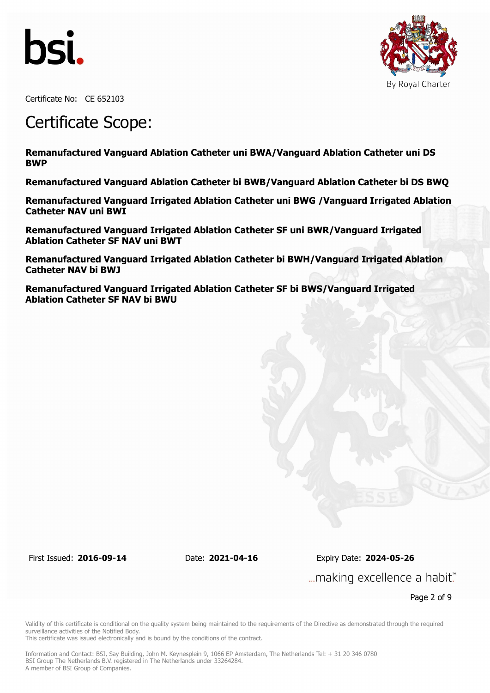



Certificate No: CE 652103

### Certificate Scope:

**ISSUED TO:**  *Vanguard AGC* **Vanguard AGC AGC Remanufactured Vanguard Ablation Catheter uni BWA/Vanguard Ablation Catheter uni DS BWP**

Remanufactured Vanguard Ablation Catheter bi BWB/Vanguard Ablation Catheter bi DS BWQ

**Germany Remanufactured Vanguard Irrigated Ablation Catheter uni BWG /Vanguard Irrigated Ablation Catheter NAV uni BWI**

**Remanufactured Vanguard Irrigated Ablation Catheter SF uni BWR/Vanguard Irrigated Ablation Catheter SF NAV uni BWT**

**Remanufactured Vanguard Irrigated Ablation Catheter bi BWH/Vanguard Irrigated Ablation Catheter NAV bi BWJ**

**Remanufactured Vanguard Irrigated Ablation Catheter SF bi BWS/Vanguard Irrigated Ablation Catheter SF NAV bi BWU**

First Issued: **2016-09-14** Date: **2021-04-16** Expiry Date: **2024-05-26** ... making excellence a habit."

Page 2 of 9

Validity of this certificate is conditional on the quality system being maintained to the requirements of the Directive as demonstrated through the required surveillance activities of the Notified Body.

This certificate was issued electronically and is bound by the conditions of the contract.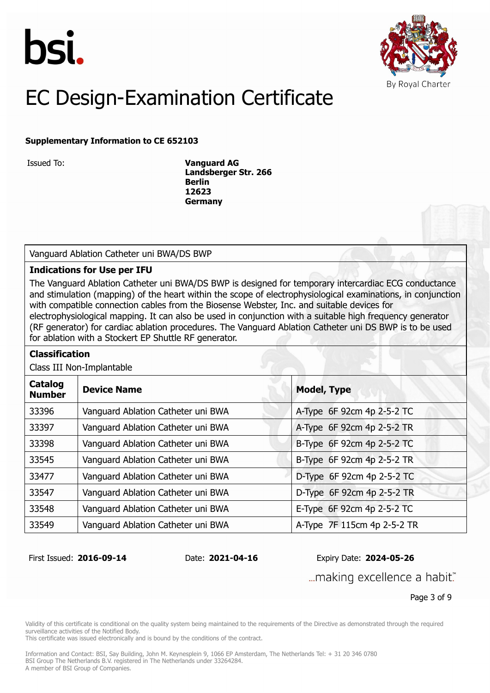



### **Supplementary Information to CE 652103**

Issued To: **Vanguard AG Landsberger Str. 266 Berlin 12623 Germany**

Vanguard Ablation Catheter uni BWA/DS BWP

### **Indications for Use per IFU**

The Vanguard Ablation Catheter uni BWA/DS BWP is designed for temporary intercardiac ECG conductance and stimulation (mapping) of the heart within the scope of electrophysiological examinations, in conjunction with compatible connection cables from the Biosense Webster, Inc. and suitable devices for electrophysiological mapping. It can also be used in conjunction with a suitable high frequency generator (RF generator) for cardiac ablation procedures. The Vanguard Ablation Catheter uni DS BWP is to be used for ablation with a Stockert EP Shuttle RF generator.

### **Classification**

Class III Non-Implantable

| <b>Device Name</b>                 | <b>Model, Type</b>          |  |
|------------------------------------|-----------------------------|--|
| Vanguard Ablation Catheter uni BWA | A-Type 6F 92cm 4p 2-5-2 TC  |  |
| Vanguard Ablation Catheter uni BWA | A-Type 6F 92cm 4p 2-5-2 TR  |  |
| Vanguard Ablation Catheter uni BWA | B-Type 6F 92cm 4p 2-5-2 TC  |  |
| Vanguard Ablation Catheter uni BWA | B-Type 6F 92cm 4p 2-5-2 TR  |  |
| Vanguard Ablation Catheter uni BWA | D-Type 6F 92cm 4p 2-5-2 TC  |  |
| Vanguard Ablation Catheter uni BWA | D-Type 6F 92cm 4p 2-5-2 TR  |  |
| Vanguard Ablation Catheter uni BWA | E-Type 6F 92cm 4p 2-5-2 TC  |  |
| Vanguard Ablation Catheter uni BWA | A-Type 7F 115cm 4p 2-5-2 TR |  |
|                                    |                             |  |

First Issued: **2016-09-14** Date: **2021-04-16** Expiry Date: **2024-05-26**

... making excellence a habit."

Page 3 of 9

Validity of this certificate is conditional on the quality system being maintained to the requirements of the Directive as demonstrated through the required surveillance activities of the Notified Body.

This certificate was issued electronically and is bound by the conditions of the contract.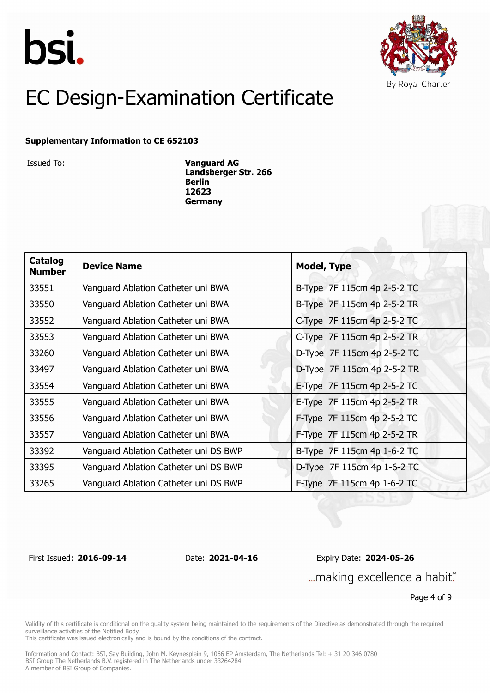



#### **Supplementary Information to CE 652103**

Issued To: **Vanguard AG Landsberger Str. 266 Berlin 12623 Germany**

| Catalog<br><b>Number</b> | <b>Device Name</b>                    | <b>Model, Type</b>          |
|--------------------------|---------------------------------------|-----------------------------|
| 33551                    | Vanguard Ablation Catheter uni BWA    | B-Type 7F 115cm 4p 2-5-2 TC |
| 33550                    | Vanguard Ablation Catheter uni BWA    | B-Type 7F 115cm 4p 2-5-2 TR |
| 33552                    | Vanguard Ablation Catheter uni BWA    | C-Type 7F 115cm 4p 2-5-2 TC |
| 33553                    | Vanguard Ablation Catheter uni BWA    | C-Type 7F 115cm 4p 2-5-2 TR |
| 33260                    | Vanguard Ablation Catheter uni BWA    | D-Type 7F 115cm 4p 2-5-2 TC |
| 33497                    | Vanguard Ablation Catheter uni BWA    | D-Type 7F 115cm 4p 2-5-2 TR |
| 33554                    | Vanguard Ablation Catheter uni BWA    | E-Type 7F 115cm 4p 2-5-2 TC |
| 33555                    | Vanguard Ablation Catheter uni BWA    | E-Type 7F 115cm 4p 2-5-2 TR |
| 33556                    | Vanguard Ablation Catheter uni BWA    | F-Type 7F 115cm 4p 2-5-2 TC |
| 33557                    | Vanguard Ablation Catheter uni BWA    | F-Type 7F 115cm 4p 2-5-2 TR |
| 33392                    | Vanguard Ablation Catheter uni DS BWP | B-Type 7F 115cm 4p 1-6-2 TC |
| 33395                    | Vanguard Ablation Catheter uni DS BWP | D-Type 7F 115cm 4p 1-6-2 TC |
| 33265                    | Vanguard Ablation Catheter uni DS BWP | F-Type 7F 115cm 4p 1-6-2 TC |

First Issued: **2016-09-14** Date: **2021-04-16** Expiry Date: **2024-05-26** ... making excellence a habit."

Page 4 of 9

Validity of this certificate is conditional on the quality system being maintained to the requirements of the Directive as demonstrated through the required surveillance activities of the Notified Body.

This certificate was issued electronically and is bound by the conditions of the contract.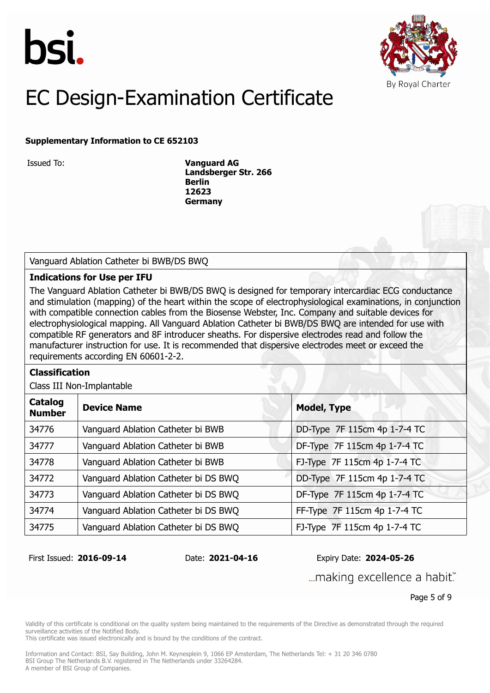



#### **Supplementary Information to CE 652103**

Issued To: **Vanguard AG Landsberger Str. 266 Berlin 12623 Germany**

Vanguard Ablation Catheter bi BWB/DS BWQ

### **Indications for Use per IFU**

The Vanguard Ablation Catheter bi BWB/DS BWQ is designed for temporary intercardiac ECG conductance and stimulation (mapping) of the heart within the scope of electrophysiological examinations, in conjunction with compatible connection cables from the Biosense Webster, Inc. Company and suitable devices for electrophysiological mapping. All Vanguard Ablation Catheter bi BWB/DS BWQ are intended for use with compatible RF generators and 8F introducer sheaths. For dispersive electrodes read and follow the manufacturer instruction for use. It is recommended that dispersive electrodes meet or exceed the requirements according EN 60601-2-2.

#### **Classification**

Class III Non-Implantable

| Catalog<br><b>Number</b> | <b>Device Name</b>                   | <b>Model, Type</b>           |
|--------------------------|--------------------------------------|------------------------------|
| 34776                    | Vanguard Ablation Catheter bi BWB    | DD-Type 7F 115cm 4p 1-7-4 TC |
| 34777                    | Vanguard Ablation Catheter bi BWB    | DF-Type 7F 115cm 4p 1-7-4 TC |
| 34778                    | Vanguard Ablation Catheter bi BWB    | FJ-Type 7F 115cm 4p 1-7-4 TC |
| 34772                    | Vanguard Ablation Catheter bi DS BWQ | DD-Type 7F 115cm 4p 1-7-4 TC |
| 34773                    | Vanguard Ablation Catheter bi DS BWQ | DF-Type 7F 115cm 4p 1-7-4 TC |
| 34774                    | Vanguard Ablation Catheter bi DS BWQ | FF-Type 7F 115cm 4p 1-7-4 TC |
| 34775                    | Vanguard Ablation Catheter bi DS BWQ | FJ-Type 7F 115cm 4p 1-7-4 TC |

First Issued: **2016-09-14** Date: **2021-04-16** Expiry Date: **2024-05-26**

... making excellence a habit."

Page 5 of 9

Validity of this certificate is conditional on the quality system being maintained to the requirements of the Directive as demonstrated through the required surveillance activities of the Notified Body.

This certificate was issued electronically and is bound by the conditions of the contract.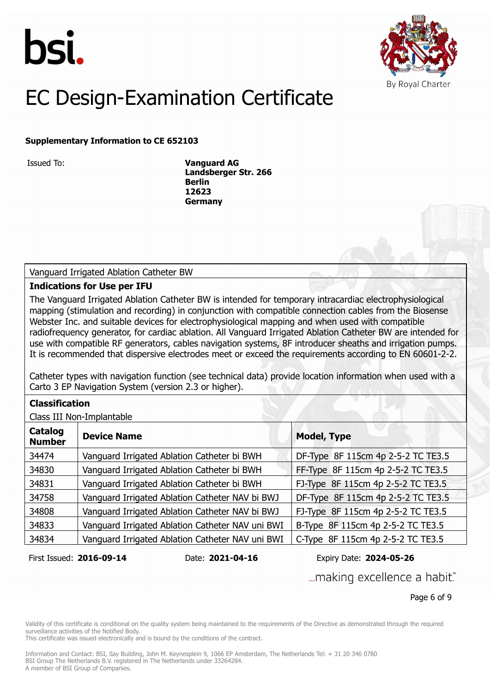



### **Supplementary Information to CE 652103**

Issued To: **Vanguard AG Landsberger Str. 266 Berlin 12623 Germany**

Vanguard Irrigated Ablation Catheter BW

#### **Indications for Use per IFU**

The Vanguard Irrigated Ablation Catheter BW is intended for temporary intracardiac electrophysiological mapping (stimulation and recording) in conjunction with compatible connection cables from the Biosense Webster Inc. and suitable devices for electrophysiological mapping and when used with compatible radiofrequency generator, for cardiac ablation. All Vanguard Irrigated Ablation Catheter BW are intended for use with compatible RF generators, cables navigation systems, 8F introducer sheaths and irrigation pumps. It is recommended that dispersive electrodes meet or exceed the requirements according to EN 60601-2-2.

Catheter types with navigation function (see technical data) provide location information when used with a Carto 3 EP Navigation System (version 2.3 or higher).

### **Classification**

Class III Non-Implantable

| Catalog<br><b>Number</b> | <b>Device Name</b>                               | <b>Model, Type</b>                 |
|--------------------------|--------------------------------------------------|------------------------------------|
| 34474                    | Vanguard Irrigated Ablation Catheter bi BWH      | DF-Type 8F 115cm 4p 2-5-2 TC TE3.5 |
| 34830                    | Vanguard Irrigated Ablation Catheter bi BWH      | FF-Type 8F 115cm 4p 2-5-2 TC TE3.5 |
| 34831                    | Vanguard Irrigated Ablation Catheter bi BWH      | FJ-Type 8F 115cm 4p 2-5-2 TC TE3.5 |
| 34758                    | Vanguard Irrigated Ablation Catheter NAV bi BWJ  | DF-Type 8F 115cm 4p 2-5-2 TC TE3.5 |
| 34808                    | Vanguard Irrigated Ablation Catheter NAV bi BWJ  | FJ-Type 8F 115cm 4p 2-5-2 TC TE3.5 |
| 34833                    | Vanguard Irrigated Ablation Catheter NAV uni BWI | B-Type 8F 115cm 4p 2-5-2 TC TE3.5  |
| 34834                    | Vanguard Irrigated Ablation Catheter NAV uni BWI | C-Type 8F 115cm 4p 2-5-2 TC TE3.5  |

First Issued: **2016-09-14** Date: **2021-04-16** Expiry Date: **2024-05-26**

... making excellence a habit."

Page 6 of 9

Validity of this certificate is conditional on the quality system being maintained to the requirements of the Directive as demonstrated through the required surveillance activities of the Notified Body.

This certificate was issued electronically and is bound by the conditions of the contract.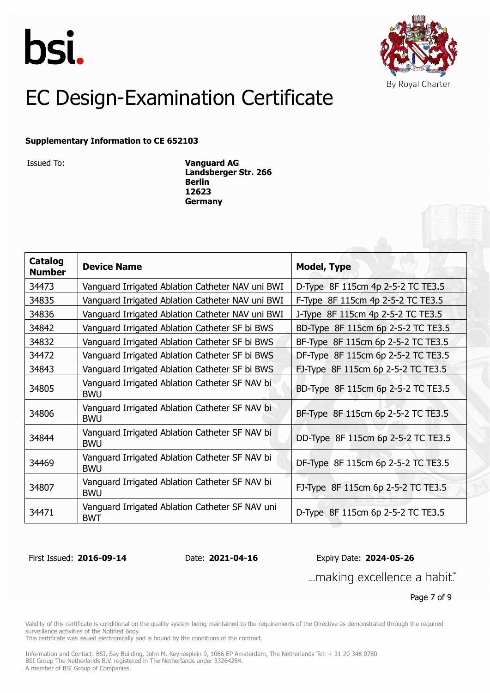



#### **Supplementary Information to CE 652103**

Issued To: **Vanguard AG Landsberger Str. 266 Berlin 12623 Germany**

| <b>Catalog</b><br><b>Number</b> | <b>Device Name</b>                                            | <b>Model, Type</b>                 |  |
|---------------------------------|---------------------------------------------------------------|------------------------------------|--|
| 34473                           | Vanguard Irrigated Ablation Catheter NAV uni BWI              | D-Type 8F 115cm 4p 2-5-2 TC TE3.5  |  |
| 34835                           | Vanguard Irrigated Ablation Catheter NAV uni BWI              | F-Type 8F 115cm 4p 2-5-2 TC TE3.5  |  |
| 34836                           | Vanguard Irrigated Ablation Catheter NAV uni BWI              | J-Type 8F 115cm 4p 2-5-2 TC TE3.5  |  |
| 34842                           | Vanguard Irrigated Ablation Catheter SF bi BWS                | BD-Type 8F 115cm 6p 2-5-2 TC TE3.5 |  |
| 34832                           | Vanguard Irrigated Ablation Catheter SF bi BWS                | BF-Type 8F 115cm 6p 2-5-2 TC TE3.5 |  |
| 34472                           | Vanguard Irrigated Ablation Catheter SF bi BWS                | DF-Type 8F 115cm 6p 2-5-2 TC TE3.5 |  |
| 34843                           | Vanguard Irrigated Ablation Catheter SF bi BWS                | FJ-Type 8F 115cm 6p 2-5-2 TC TE3.5 |  |
| 34805                           | Vanguard Irrigated Ablation Catheter SF NAV bi<br><b>BWU</b>  | BD-Type 8F 115cm 6p 2-5-2 TC TE3.5 |  |
| 34806                           | Vanguard Irrigated Ablation Catheter SF NAV bi<br><b>BWU</b>  | BF-Type 8F 115cm 6p 2-5-2 TC TE3.5 |  |
| 34844                           | Vanguard Irrigated Ablation Catheter SF NAV bi<br><b>BWU</b>  | DD-Type 8F 115cm 6p 2-5-2 TC TE3.5 |  |
| 34469                           | Vanguard Irrigated Ablation Catheter SF NAV bi<br><b>BWU</b>  | DF-Type 8F 115cm 6p 2-5-2 TC TE3.5 |  |
| 34807                           | Vanguard Irrigated Ablation Catheter SF NAV bi<br><b>BWU</b>  | FJ-Type 8F 115cm 6p 2-5-2 TC TE3.5 |  |
| 34471                           | Vanguard Irrigated Ablation Catheter SF NAV uni<br><b>BWT</b> | D-Type 8F 115cm 6p 2-5-2 TC TE3.5  |  |

First Issued: **2016-09-14** Date: **2021-04-16** Expiry Date: **2024-05-26**

... making excellence a habit."

Page 7 of 9

Validity of this certificate is conditional on the quality system being maintained to the requirements of the Directive as demonstrated through the required surveillance activities of the Notified Body.

This certificate was issued electronically and is bound by the conditions of the contract.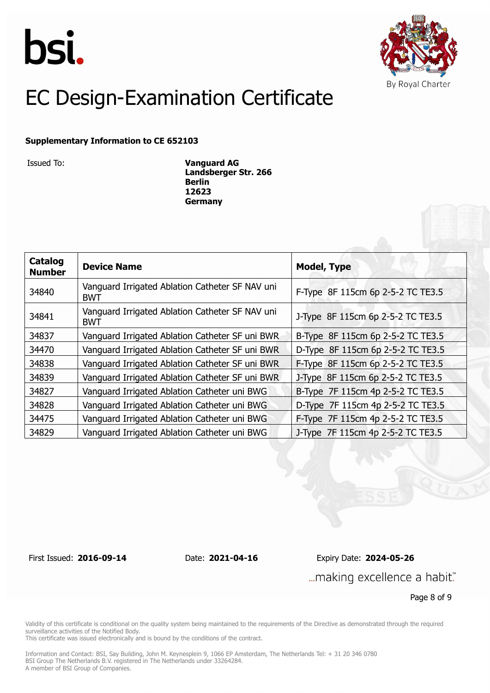



#### **Supplementary Information to CE 652103**

Issued To: **Vanguard AG Landsberger Str. 266 Berlin 12623 Germany**

| Catalog<br><b>Number</b> | <b>Device Name</b>                                            | <b>Model, Type</b>                |
|--------------------------|---------------------------------------------------------------|-----------------------------------|
| 34840                    | Vanguard Irrigated Ablation Catheter SF NAV uni<br><b>BWT</b> | F-Type 8F 115cm 6p 2-5-2 TC TE3.5 |
| 34841                    | Vanguard Irrigated Ablation Catheter SF NAV uni<br><b>BWT</b> | J-Type 8F 115cm 6p 2-5-2 TC TE3.5 |
| 34837                    | Vanguard Irrigated Ablation Catheter SF uni BWR               | B-Type 8F 115cm 6p 2-5-2 TC TE3.5 |
| 34470                    | Vanguard Irrigated Ablation Catheter SF uni BWR               | D-Type 8F 115cm 6p 2-5-2 TC TE3.5 |
| 34838                    | Vanguard Irrigated Ablation Catheter SF uni BWR               | F-Type 8F 115cm 6p 2-5-2 TC TE3.5 |
| 34839                    | Vanguard Irrigated Ablation Catheter SF uni BWR               | J-Type 8F 115cm 6p 2-5-2 TC TE3.5 |
| 34827                    | Vanguard Irrigated Ablation Catheter uni BWG                  | B-Type 7F 115cm 4p 2-5-2 TC TE3.5 |
| 34828                    | Vanguard Irrigated Ablation Catheter uni BWG                  | D-Type 7F 115cm 4p 2-5-2 TC TE3.5 |
| 34475                    | Vanguard Irrigated Ablation Catheter uni BWG                  | F-Type 7F 115cm 4p 2-5-2 TC TE3.5 |
| 34829                    | Vanguard Irrigated Ablation Catheter uni BWG                  | J-Type 7F 115cm 4p 2-5-2 TC TE3.5 |

First Issued: **2016-09-14** Date: **2021-04-16** Expiry Date: **2024-05-26** ... making excellence a habit."

Page 8 of 9

Validity of this certificate is conditional on the quality system being maintained to the requirements of the Directive as demonstrated through the required surveillance activities of the Notified Body.

This certificate was issued electronically and is bound by the conditions of the contract.